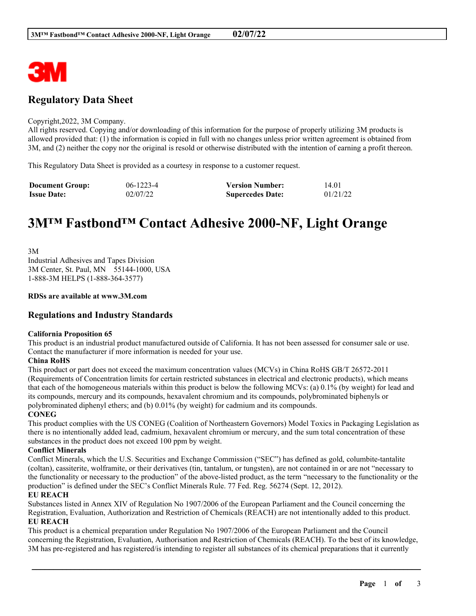

# **Regulatory Data Sheet**

#### Copyright,2022, 3M Company.

All rights reserved. Copying and/or downloading of this information for the purpose of properly utilizing 3M products is allowed provided that: (1) the information is copied in full with no changes unless prior written agreement is obtained from 3M, and (2) neither the copy nor the original is resold or otherwise distributed with the intention of earning a profit thereon.

This Regulatory Data Sheet is provided as a courtesy in response to a customer request.

| <b>Document Group:</b> | $06-1223-4$ | <b>Version Number:</b>  | 14.01    |
|------------------------|-------------|-------------------------|----------|
| <b>Issue Date:</b>     | 02/07/22    | <b>Supercedes Date:</b> | 01/21/22 |

# **3M™ Fastbond™ Contact Adhesive 2000-NF, Light Orange**

3M Industrial Adhesives and Tapes Division 3M Center, St. Paul, MN 55144-1000, USA 1-888-3M HELPS (1-888-364-3577)

#### **RDSs are available at www.3M.com**

## **Regulations and Industry Standards**

#### **California Proposition 65**

This product is an industrial product manufactured outside of California. It has not been assessed for consumer sale or use. Contact the manufacturer if more information is needed for your use.

#### **China RoHS**

This product or part does not exceed the maximum concentration values (MCVs) in China RoHS GB/T 26572-2011 (Requirements of Concentration limits for certain restricted substances in electrical and electronic products), which means that each of the homogeneous materials within this product is below the following MCVs: (a) 0.1% (by weight) for lead and its compounds, mercury and its compounds, hexavalent chromium and its compounds, polybrominated biphenyls or polybrominated diphenyl ethers; and (b) 0.01% (by weight) for cadmium and its compounds.

#### **CONEG**

This product complies with the US CONEG (Coalition of Northeastern Governors) Model Toxics in Packaging Legislation as there is no intentionally added lead, cadmium, hexavalent chromium or mercury, and the sum total concentration of these substances in the product does not exceed 100 ppm by weight.

#### **Conflict Minerals**

Conflict Minerals, which the U.S. Securities and Exchange Commission ("SEC") has defined as gold, columbite-tantalite (coltan), cassiterite, wolframite, or their derivatives (tin, tantalum, or tungsten), are not contained in or are not "necessary to the functionality or necessary to the production" of the above-listed product, as the term "necessary to the functionality or the production" is defined under the SEC's Conflict Minerals Rule. 77 Fed. Reg. 56274 (Sept. 12, 2012).

#### **EU REACH**

Substances listed in Annex XIV of Regulation No 1907/2006 of the European Parliament and the Council concerning the Registration, Evaluation, Authorization and Restriction of Chemicals (REACH) are not intentionally added to this product. **EU REACH**

This product is a chemical preparation under Regulation No 1907/2006 of the European Parliament and the Council concerning the Registration, Evaluation, Authorisation and Restriction of Chemicals (REACH). To the best of its knowledge, 3M has pre-registered and has registered/is intending to register all substances of its chemical preparations that it currently

\_\_\_\_\_\_\_\_\_\_\_\_\_\_\_\_\_\_\_\_\_\_\_\_\_\_\_\_\_\_\_\_\_\_\_\_\_\_\_\_\_\_\_\_\_\_\_\_\_\_\_\_\_\_\_\_\_\_\_\_\_\_\_\_\_\_\_\_\_\_\_\_\_\_\_\_\_\_\_\_\_\_\_\_\_\_\_\_\_\_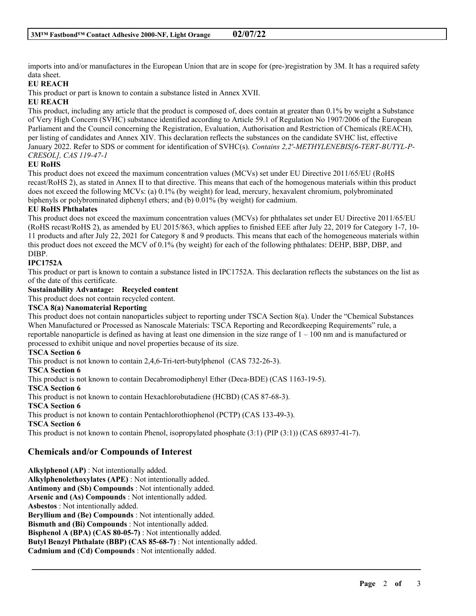imports into and/or manufactures in the European Union that are in scope for (pre-)registration by 3M. It has a required safety data sheet.

## **EU REACH**

This product or part is known to contain a substance listed in Annex XVII.

#### **EU REACH**

This product, including any article that the product is composed of, does contain at greater than 0.1% by weight a Substance of Very High Concern (SVHC) substance identified according to Article 59.1 of Regulation No 1907/2006 of the European Parliament and the Council concerning the Registration, Evaluation, Authorisation and Restriction of Chemicals (REACH), per listing of candidates and Annex XIV. This declaration reflects the substances on the candidate SVHC list, effective January 2022. Refer to SDS or comment for identification of SVHC(s). *Contains 2,2'-METHYLENEBIS[6-TERT-BUTYL-P-CRESOL], CAS 119-47-1*

#### **EU RoHS**

This product does not exceed the maximum concentration values (MCVs) set under EU Directive 2011/65/EU (RoHS recast/RoHS 2), as stated in Annex II to that directive. This means that each of the homogenous materials within this product does not exceed the following MCVs: (a) 0.1% (by weight) for lead, mercury, hexavalent chromium, polybrominated biphenyls or polybrominated diphenyl ethers; and (b) 0.01% (by weight) for cadmium.

## **EU RoHS Phthalates**

This product does not exceed the maximum concentration values (MCVs) for phthalates set under EU Directive 2011/65/EU (RoHS recast/RoHS 2), as amended by EU 2015/863, which applies to finished EEE after July 22, 2019 for Category 1-7, 10- 11 products and after July 22, 2021 for Category 8 and 9 products. This means that each of the homogeneous materials within this product does not exceed the MCV of 0.1% (by weight) for each of the following phthalates: DEHP, BBP, DBP, and DIBP.

## **IPC1752A**

This product or part is known to contain a substance listed in IPC1752A. This declaration reflects the substances on the list as of the date of this certificate.

#### **Sustainability Advantage: Recycled content**

This product does not contain recycled content.

#### **TSCA 8(a) Nanomaterial Reporting**

This product does not contain nanoparticles subject to reporting under TSCA Section 8(a). Under the "Chemical Substances When Manufactured or Processed as Nanoscale Materials: TSCA Reporting and Recordkeeping Requirements" rule, a reportable nanoparticle is defined as having at least one dimension in the size range of  $1 - 100$  nm and is manufactured or processed to exhibit unique and novel properties because of its size.

\_\_\_\_\_\_\_\_\_\_\_\_\_\_\_\_\_\_\_\_\_\_\_\_\_\_\_\_\_\_\_\_\_\_\_\_\_\_\_\_\_\_\_\_\_\_\_\_\_\_\_\_\_\_\_\_\_\_\_\_\_\_\_\_\_\_\_\_\_\_\_\_\_\_\_\_\_\_\_\_\_\_\_\_\_\_\_\_\_\_

#### **TSCA Section 6**

This product is not known to contain 2,4,6-Tri-tert-butylphenol (CAS 732-26-3).

#### **TSCA Section 6**

This product is not known to contain Decabromodiphenyl Ether (Deca-BDE) (CAS 1163-19-5).

**TSCA Section 6**

This product is not known to contain Hexachlorobutadiene (HCBD) (CAS 87-68-3).

## **TSCA Section 6**

This product is not known to contain Pentachlorothiophenol (PCTP) (CAS 133-49-3).

**TSCA Section 6**

This product is not known to contain Phenol, isopropylated phosphate (3:1) (PIP (3:1)) (CAS 68937-41-7).

## **Chemicals and/or Compounds of Interest**

**Alkylphenol (AP)** : Not intentionally added. **Alkylphenolethoxylates (APE)** : Not intentionally added. **Antimony and (Sb) Compounds** : Not intentionally added. **Arsenic and (As) Compounds** : Not intentionally added. **Asbestos** : Not intentionally added. **Beryllium and (Be) Compounds** : Not intentionally added. **Bismuth and (Bi) Compounds** : Not intentionally added. **Bisphenol A (BPA) (CAS 80-05-7)** : Not intentionally added. **Butyl Benzyl Phthalate (BBP) (CAS 85-68-7)** : Not intentionally added. **Cadmium and (Cd) Compounds** : Not intentionally added.